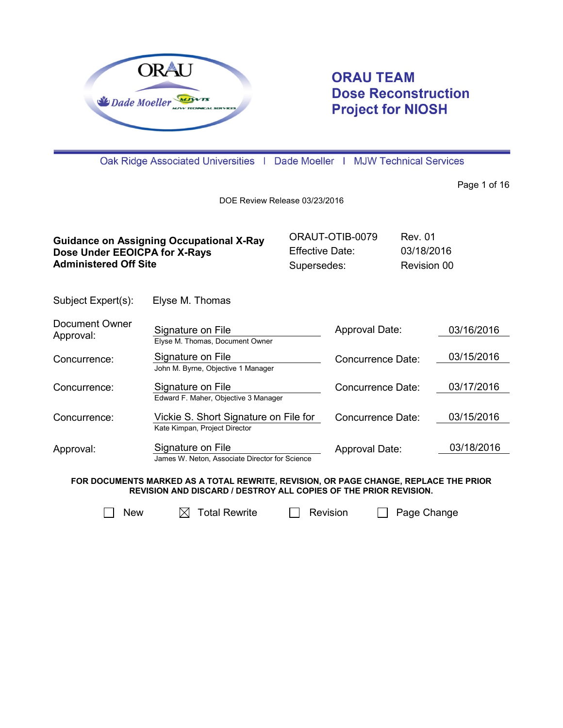

# **ORAU TEAM Dose Reconstruction Project for NIOSH**

Oak Ridge Associated Universities | Dade Moeller | MJW Technical Services

Page 1 of 16

DOE Review Release 03/23/2016

| <b>Guidance on Assigning Occupational X-Ray</b> | ORAUT-OTIB-0079 | Rev. 01     |
|-------------------------------------------------|-----------------|-------------|
| Dose Under EEOICPA for X-Rays                   | Effective Date: | 03/18/2016  |
| <b>Administered Off Site</b>                    | Supersedes:     | Revision 00 |

Subject Expert(s): Elyse M. Thomas

| Document Owner<br>Approval: | Signature on File<br>Elyse M. Thomas, Document Owner                   | Approval Date:    | 03/16/2016 |
|-----------------------------|------------------------------------------------------------------------|-------------------|------------|
| Concurrence:                | Signature on File<br>John M. Byrne, Objective 1 Manager                | Concurrence Date: | 03/15/2016 |
| Concurrence:                | Signature on File<br>Edward F. Maher, Objective 3 Manager              | Concurrence Date: | 03/17/2016 |
| Concurrence:                | Vickie S. Short Signature on File for<br>Kate Kimpan, Project Director | Concurrence Date: | 03/15/2016 |
| Approval:                   | Signature on File<br>James W. Neton, Associate Director for Science    | Approval Date:    | 03/18/2016 |

**FOR DOCUMENTS MARKED AS A TOTAL REWRITE, REVISION, OR PAGE CHANGE, REPLACE THE PRIOR REVISION AND DISCARD / DESTROY ALL COPIES OF THE PRIOR REVISION.**

 $\Box$  New  $\Box$  Total Rewrite  $\Box$  Revision  $\Box$  Page Change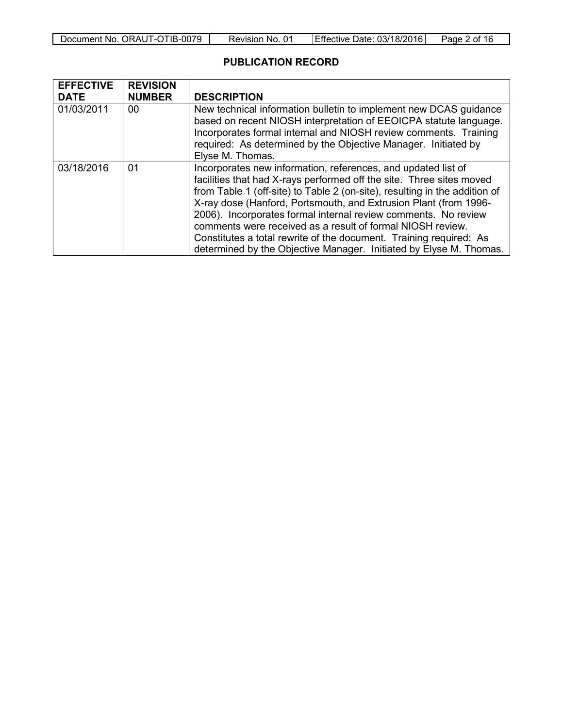| Document No. ORAUT-OTIB-0079 | Revision No. 01 | Effective Date: 03/18/2016 | Page 2 of 16 |
|------------------------------|-----------------|----------------------------|--------------|
|------------------------------|-----------------|----------------------------|--------------|

## **PUBLICATION RECORD**

| <b>EFFECTIVE</b><br><b>DATE</b> | <b>REVISION</b><br><b>NUMBER</b> | <b>DESCRIPTION</b>                                                                                                                                                                                                                                                                                                                                                                                                                                                                                                                                                  |
|---------------------------------|----------------------------------|---------------------------------------------------------------------------------------------------------------------------------------------------------------------------------------------------------------------------------------------------------------------------------------------------------------------------------------------------------------------------------------------------------------------------------------------------------------------------------------------------------------------------------------------------------------------|
| 01/03/2011                      | 00                               | New technical information bulletin to implement new DCAS guidance<br>based on recent NIOSH interpretation of EEOICPA statute language.<br>Incorporates formal internal and NIOSH review comments. Training<br>required: As determined by the Objective Manager. Initiated by<br>Elyse M. Thomas.                                                                                                                                                                                                                                                                    |
| 03/18/2016                      | 01                               | Incorporates new information, references, and updated list of<br>facilities that had X-rays performed off the site. Three sites moved<br>from Table 1 (off-site) to Table 2 (on-site), resulting in the addition of<br>X-ray dose (Hanford, Portsmouth, and Extrusion Plant (from 1996-<br>2006). Incorporates formal internal review comments. No review<br>comments were received as a result of formal NIOSH review.<br>Constitutes a total rewrite of the document. Training required: As<br>determined by the Objective Manager. Initiated by Elyse M. Thomas. |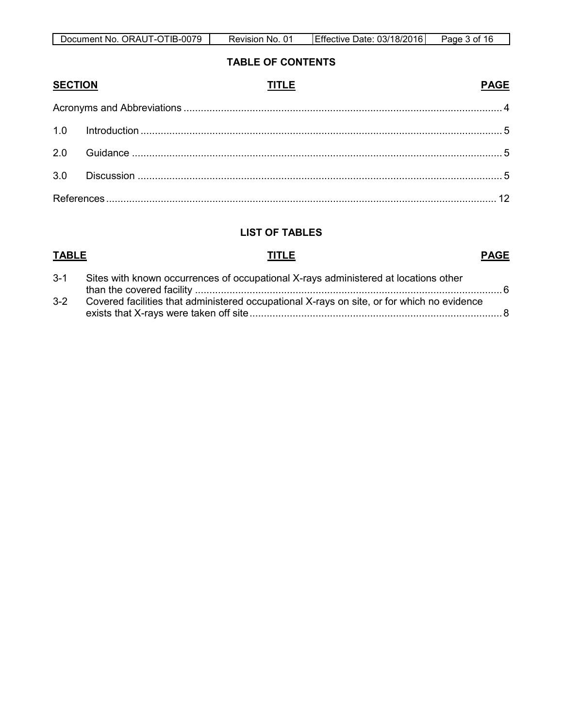| $-0079$<br>Document No.<br>. ORAUT-C`<br>DTIB- | 01<br>NO.<br>Revision | 03/18/2016<br>. Date:∴<br><b>IEffective</b> | Page<br>n. |
|------------------------------------------------|-----------------------|---------------------------------------------|------------|

# **TABLE OF CONTENTS**

| <b>SECTION</b> | <b>PAGE</b><br><b>TITLE</b> |  |
|----------------|-----------------------------|--|
|                |                             |  |
|                |                             |  |
|                |                             |  |
|                |                             |  |
|                |                             |  |

# **LIST OF TABLES**

# **TABLE TITLE PAGE**

| $3 - 1$ | Sites with known occurrences of occupational X-rays administered at locations other        |
|---------|--------------------------------------------------------------------------------------------|
|         |                                                                                            |
| $3-2$   | Covered facilities that administered occupational X-rays on site, or for which no evidence |
|         |                                                                                            |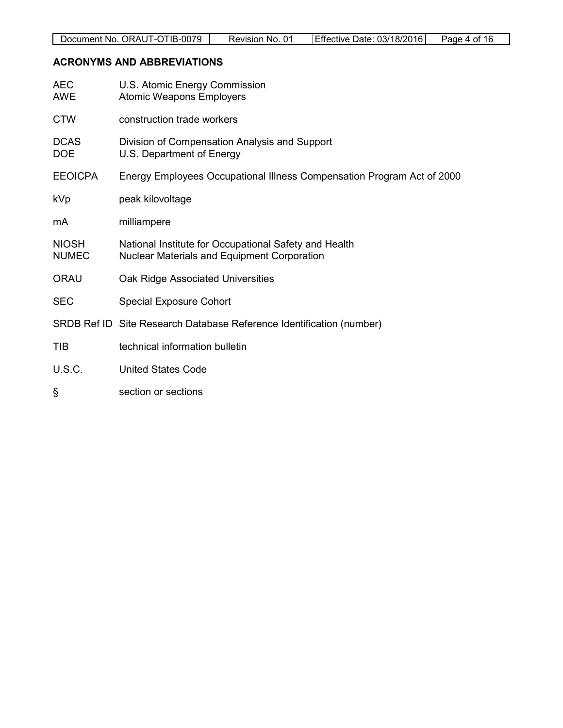# <span id="page-3-0"></span>**ACRONYMS AND ABBREVIATIONS**

| <b>AEC</b><br><b>AWE</b>     | U.S. Atomic Energy Commission<br><b>Atomic Weapons Employers</b>                                     |
|------------------------------|------------------------------------------------------------------------------------------------------|
| <b>CTW</b>                   | construction trade workers                                                                           |
| <b>DCAS</b><br><b>DOE</b>    | Division of Compensation Analysis and Support<br>U.S. Department of Energy                           |
| <b>EEOICPA</b>               | Energy Employees Occupational Illness Compensation Program Act of 2000                               |
| <b>kVp</b>                   | peak kilovoltage                                                                                     |
| mA                           | milliampere                                                                                          |
| <b>NIOSH</b><br><b>NUMEC</b> | National Institute for Occupational Safety and Health<br>Nuclear Materials and Equipment Corporation |
| <b>ORAU</b>                  | Oak Ridge Associated Universities                                                                    |
| <b>SEC</b>                   | <b>Special Exposure Cohort</b>                                                                       |
|                              | SRDB Ref ID Site Research Database Reference Identification (number)                                 |
| <b>TIB</b>                   | technical information bulletin                                                                       |
| <b>U.S.C.</b>                | <b>United States Code</b>                                                                            |
| ş                            | section or sections                                                                                  |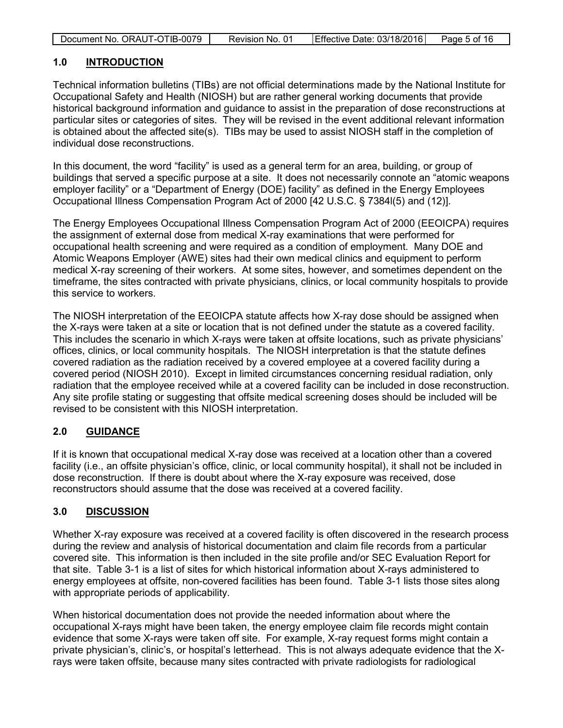| Document No. ORAUT-OTIB-0079 | Revision No. 01 | Effective Date: 03/18/2016 | Page 5 of 16 |
|------------------------------|-----------------|----------------------------|--------------|

### <span id="page-4-0"></span>**1.0 INTRODUCTION**

Technical information bulletins (TIBs) are not official determinations made by the National Institute for Occupational Safety and Health (NIOSH) but are rather general working documents that provide historical background information and guidance to assist in the preparation of dose reconstructions at particular sites or categories of sites. They will be revised in the event additional relevant information is obtained about the affected site(s). TIBs may be used to assist NIOSH staff in the completion of individual dose reconstructions.

In this document, the word "facility" is used as a general term for an area, building, or group of buildings that served a specific purpose at a site. It does not necessarily connote an "atomic weapons employer facility" or a "Department of Energy (DOE) facility" as defined in the Energy Employees Occupational Illness Compensation Program Act of 2000 [42 U.S.C. § 7384l(5) and (12)].

The Energy Employees Occupational Illness Compensation Program Act of 2000 (EEOICPA) requires the assignment of external dose from medical X-ray examinations that were performed for occupational health screening and were required as a condition of employment. Many DOE and Atomic Weapons Employer (AWE) sites had their own medical clinics and equipment to perform medical X-ray screening of their workers. At some sites, however, and sometimes dependent on the timeframe, the sites contracted with private physicians, clinics, or local community hospitals to provide this service to workers.

The NIOSH interpretation of the EEOICPA statute affects how X-ray dose should be assigned when the X-rays were taken at a site or location that is not defined under the statute as a covered facility. This includes the scenario in which X-rays were taken at offsite locations, such as private physicians' offices, clinics, or local community hospitals. The NIOSH interpretation is that the statute defines covered radiation as the radiation received by a covered employee at a covered facility during a covered period (NIOSH 2010). Except in limited circumstances concerning residual radiation, only radiation that the employee received while at a covered facility can be included in dose reconstruction. Any site profile stating or suggesting that offsite medical screening doses should be included will be revised to be consistent with this NIOSH interpretation.

### <span id="page-4-1"></span>**2.0 GUIDANCE**

If it is known that occupational medical X-ray dose was received at a location other than a covered facility (i.e., an offsite physician's office, clinic, or local community hospital), it shall not be included in dose reconstruction. If there is doubt about where the X-ray exposure was received, dose reconstructors should assume that the dose was received at a covered facility.

### <span id="page-4-2"></span>**3.0 DISCUSSION**

Whether X-ray exposure was received at a covered facility is often discovered in the research process during the review and analysis of historical documentation and claim file records from a particular covered site. This information is then included in the site profile and/or SEC Evaluation Report for that site. Table 3-1 is a list of sites for which historical information about X-rays administered to energy employees at offsite, non-covered facilities has been found. Table 3-1 lists those sites along with appropriate periods of applicability.

When historical documentation does not provide the needed information about where the occupational X-rays might have been taken, the energy employee claim file records might contain evidence that some X-rays were taken off site. For example, X-ray request forms might contain a private physician's, clinic's, or hospital's letterhead. This is not always adequate evidence that the Xrays were taken offsite, because many sites contracted with private radiologists for radiological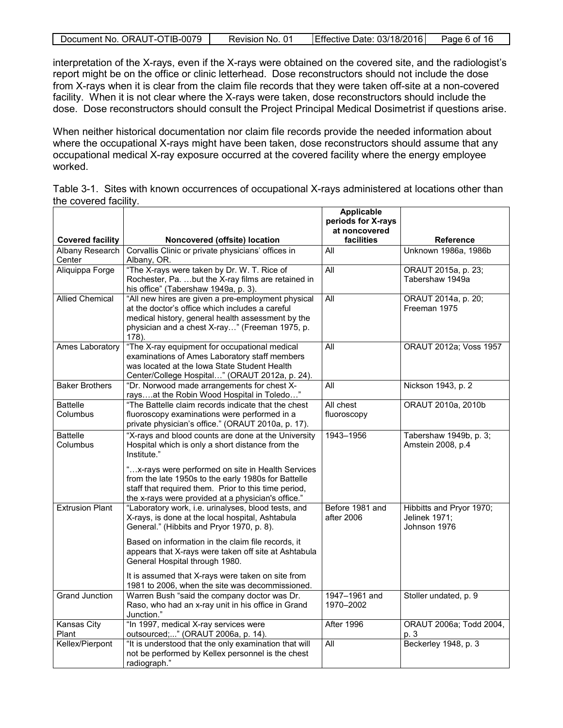| Document No. ORAUT-OTIB-0079 | Revision No. 01 | Effective Date: 03/18/2016 | Page 6 of 16 |
|------------------------------|-----------------|----------------------------|--------------|

interpretation of the X-rays, even if the X-rays were obtained on the covered site, and the radiologist's report might be on the office or clinic letterhead. Dose reconstructors should not include the dose from X-rays when it is clear from the claim file records that they were taken off-site at a non-covered facility. When it is not clear where the X-rays were taken, dose reconstructors should include the dose. Dose reconstructors should consult the Project Principal Medical Dosimetrist if questions arise.

When neither historical documentation nor claim file records provide the needed information about where the occupational X-rays might have been taken, dose reconstructors should assume that any occupational medical X-ray exposure occurred at the covered facility where the energy employee worked.

<span id="page-5-0"></span>

|                       | Table 3-1. Sites with known occurrences of occupational X-rays administered at locations other than |
|-----------------------|-----------------------------------------------------------------------------------------------------|
| the covered facility. |                                                                                                     |
|                       | Amalia alah s                                                                                       |

|                                  |                                                                                                                                                                                                                        | <b>Applicable</b><br>periods for X-rays |                                                           |
|----------------------------------|------------------------------------------------------------------------------------------------------------------------------------------------------------------------------------------------------------------------|-----------------------------------------|-----------------------------------------------------------|
|                                  |                                                                                                                                                                                                                        | at noncovered                           |                                                           |
| <b>Covered facility</b>          | Noncovered (offsite) location                                                                                                                                                                                          | facilities                              | Reference                                                 |
| <b>Albany Research</b><br>Center | Corvallis Clinic or private physicians' offices in<br>Albany, OR.                                                                                                                                                      | All                                     | Unknown 1986a, 1986b                                      |
| Aliquippa Forge                  | "The X-rays were taken by Dr. W. T. Rice of<br>Rochester, Pa. but the X-ray films are retained in<br>his office" (Tabershaw 1949a, p. 3).                                                                              | All                                     | ORAUT 2015a, p. 23;<br>Tabershaw 1949a                    |
| <b>Allied Chemical</b>           | "All new hires are given a pre-employment physical<br>at the doctor's office which includes a careful<br>medical history, general health assessment by the<br>physician and a chest X-ray" (Freeman 1975, p.<br>178).  | $\overline{All}$                        | ORAUT 2014a, p. 20;<br>Freeman 1975                       |
| Ames Laboratory                  | "The X-ray equipment for occupational medical<br>examinations of Ames Laboratory staff members<br>was located at the Iowa State Student Health<br>Center/College Hospital" (ORAUT 2012a, p. 24).                       | <b>All</b>                              | ORAUT 2012a; Voss 1957                                    |
| <b>Baker Brothers</b>            | "Dr. Norwood made arrangements for chest X-<br>raysat the Robin Wood Hospital in Toledo"                                                                                                                               | All                                     | Nickson 1943, p. 2                                        |
| <b>Battelle</b><br>Columbus      | "The Battelle claim records indicate that the chest<br>fluoroscopy examinations were performed in a<br>private physician's office." (ORAUT 2010a, p. 17).                                                              | All chest<br>fluoroscopy                | ORAUT 2010a, 2010b                                        |
| <b>Battelle</b><br>Columbus      | "X-rays and blood counts are done at the University<br>Hospital which is only a short distance from the<br>Institute."                                                                                                 | 1943-1956                               | Tabershaw 1949b, p. 3;<br>Amstein 2008, p.4               |
|                                  | "x-rays were performed on site in Health Services<br>from the late 1950s to the early 1980s for Battelle<br>staff that required them. Prior to this time period,<br>the x-rays were provided at a physician's office." |                                         |                                                           |
| <b>Extrusion Plant</b>           | "Laboratory work, i.e. urinalyses, blood tests, and<br>X-rays, is done at the local hospital, Ashtabula<br>General." (Hibbits and Pryor 1970, p. 8).                                                                   | Before 1981 and<br>after 2006           | Hibbitts and Pryor 1970;<br>Jelinek 1971;<br>Johnson 1976 |
|                                  | Based on information in the claim file records, it<br>appears that X-rays were taken off site at Ashtabula<br>General Hospital through 1980.                                                                           |                                         |                                                           |
|                                  | It is assumed that X-rays were taken on site from<br>1981 to 2006, when the site was decommissioned.                                                                                                                   |                                         |                                                           |
| <b>Grand Junction</b>            | Warren Bush "said the company doctor was Dr.<br>Raso, who had an x-ray unit in his office in Grand<br>Junction."                                                                                                       | 1947-1961 and<br>1970-2002              | Stoller undated, p. 9                                     |
| <b>Kansas City</b><br>Plant      | "In 1997, medical X-ray services were<br>outsourced;" (ORAUT 2006a, p. 14).                                                                                                                                            | After 1996                              | ORAUT 2006a; Todd 2004,<br>p. 3                           |
| Kellex/Pierpont                  | "It is understood that the only examination that will<br>not be performed by Kellex personnel is the chest<br>radiograph."                                                                                             | All                                     | Beckerley 1948, p. 3                                      |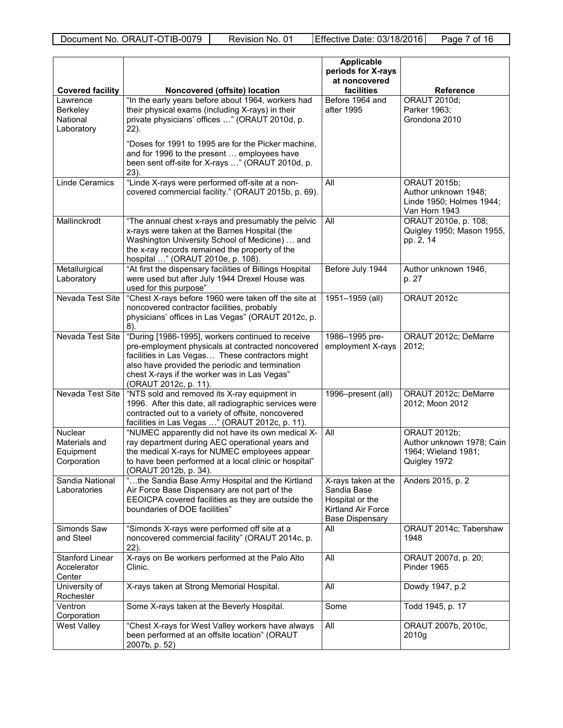|                                                             |                                                                                                                                                                                                                                                                                       | <b>Applicable</b><br>periods for X-rays<br>at noncovered                                              |                                                                                          |
|-------------------------------------------------------------|---------------------------------------------------------------------------------------------------------------------------------------------------------------------------------------------------------------------------------------------------------------------------------------|-------------------------------------------------------------------------------------------------------|------------------------------------------------------------------------------------------|
| <b>Covered facility</b>                                     | Noncovered (offsite) location                                                                                                                                                                                                                                                         | facilities                                                                                            | Reference                                                                                |
| Lawrence<br><b>Berkeley</b><br>National<br>Laboratory       | "In the early years before about 1964, workers had<br>their physical exams (including X-rays) in their<br>private physicians' offices " (ORAUT 2010d, p.<br>22).<br>"Doses for 1991 to 1995 are for the Picker machine,<br>and for 1996 to the present  employees have                | Before 1964 and<br>after 1995                                                                         | <b>ORAUT 2010d;</b><br>Parker 1963;<br>Grondona 2010                                     |
|                                                             | been sent off-site for X-rays " (ORAUT 2010d, p.<br>23).                                                                                                                                                                                                                              |                                                                                                       |                                                                                          |
| <b>Linde Ceramics</b>                                       | "Linde X-rays were performed off-site at a non-<br>covered commercial facility." (ORAUT 2015b, p. 69).                                                                                                                                                                                | All                                                                                                   | <b>ORAUT 2015b;</b><br>Author unknown 1948;<br>Linde 1950; Holmes 1944;<br>Van Horn 1943 |
| Mallinckrodt                                                | "The annual chest x-rays and presumably the pelvic<br>x-rays were taken at the Barnes Hospital (the<br>Washington University School of Medicine)  and<br>the x-ray records remained the property of the<br>hospital " (ORAUT 2010e, p. 108).                                          | All                                                                                                   | ORAUT 2010e, p. 108;<br>Quigley 1950; Mason 1955,<br>pp. 2, 14                           |
| Metallurgical<br>Laboratory                                 | "At first the dispensary facilities of Billings Hospital<br>were used but after July 1944 Drexel House was<br>used for this purpose"                                                                                                                                                  | Before July 1944                                                                                      | Author unknown 1946,<br>p. 27                                                            |
| Nevada Test Site                                            | "Chest X-rays before 1960 were taken off the site at<br>noncovered contractor facilities, probably<br>physicians' offices in Las Vegas" (ORAUT 2012c, p.<br>$8)$ .                                                                                                                    | 1951-1959 (all)                                                                                       | ORAUT 2012c                                                                              |
| Nevada Test Site                                            | "During [1986-1995], workers continued to receive<br>pre-employment physicals at contracted noncovered<br>facilities in Las Vegas These contractors might<br>also have provided the periodic and termination<br>chest X-rays if the worker was in Las Vegas"<br>(ORAUT 2012c, p. 11). | 1986-1995 pre-<br>employment X-rays                                                                   | ORAUT 2012c; DeMarre<br>2012;                                                            |
| Nevada Test Site                                            | "NTS sold and removed its X-ray equipment in<br>1996. After this date, all radiographic services were<br>contracted out to a variety of offsite, noncovered<br>facilities in Las Vegas " (ORAUT 2012c, p. 11).                                                                        | 1996-present (all)                                                                                    | ORAUT 2012c; DeMarre<br>2012; Moon 2012                                                  |
| <b>Nuclear</b><br>Materials and<br>Equipment<br>Corporation | "NUMEC apparently did not have its own medical X-<br>ray department during AEC operational years and<br>the medical X-rays for NUMEC employees appear<br>to have been performed at a local clinic or hospital"<br>(ORAUT 2012b, p. 34).                                               | All                                                                                                   | <b>ORAUT 2012b;</b><br>Author unknown 1978; Cain<br>1964; Wieland 1981;<br>Quigley 1972  |
| Sandia National<br>Laboratories                             | "the Sandia Base Army Hospital and the Kirtland<br>Air Force Base Dispensary are not part of the<br>EEOICPA covered facilities as they are outside the<br>boundaries of DOE facilities"                                                                                               | X-rays taken at the<br>Sandia Base<br>Hospital or the<br>Kirtland Air Force<br><b>Base Dispensary</b> | Anders 2015, p. 2                                                                        |
| Simonds Saw<br>and Steel                                    | "Simonds X-rays were performed off site at a<br>noncovered commercial facility" (ORAUT 2014c, p.<br>$22$ ).                                                                                                                                                                           | All                                                                                                   | ORAUT 2014c; Tabershaw<br>1948                                                           |
| <b>Stanford Linear</b><br>Accelerator<br>Center             | X-rays on Be workers performed at the Palo Alto<br>Clinic.                                                                                                                                                                                                                            | All                                                                                                   | ORAUT 2007d, p. 20;<br>Pinder 1965                                                       |
| University of<br>Rochester                                  | X-rays taken at Strong Memorial Hospital.                                                                                                                                                                                                                                             | All                                                                                                   | Dowdy 1947, p.2                                                                          |
| Ventron<br>Corporation                                      | Some X-rays taken at the Beverly Hospital.                                                                                                                                                                                                                                            | Some                                                                                                  | Todd 1945, p. 17                                                                         |
| West Valley                                                 | "Chest X-rays for West Valley workers have always<br>been performed at an offsite location" (ORAUT<br>2007b, p. 52)                                                                                                                                                                   | All                                                                                                   | ORAUT 2007b, 2010c,<br>2010g                                                             |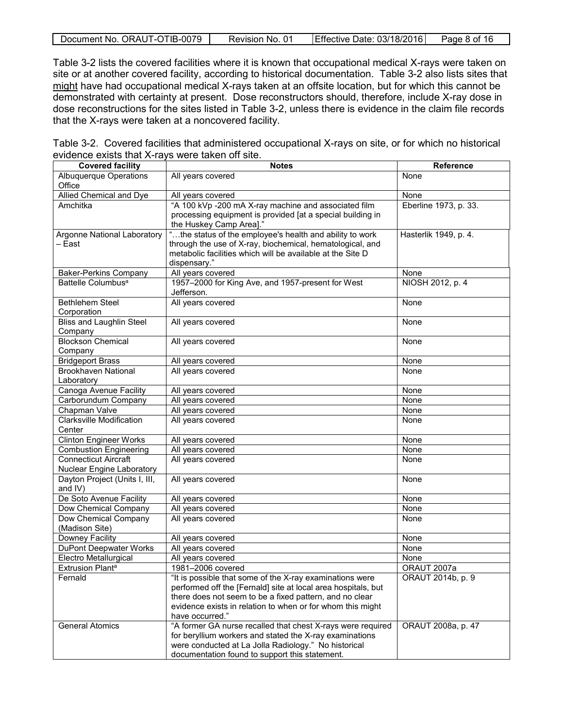|  | Document No. ORAUT-OTIB-0079 | Revision No. 01 | Effective Date: 03/18/2016 | Page 8 of 16 |
|--|------------------------------|-----------------|----------------------------|--------------|
|--|------------------------------|-----------------|----------------------------|--------------|

Table 3-2 lists the covered facilities where it is known that occupational medical X-rays were taken on site or at another covered facility, according to historical documentation. Table 3-2 also lists sites that might have had occupational medical X-rays taken at an offsite location, but for which this cannot be demonstrated with certainty at present. Dose reconstructors should, therefore, include X-ray dose in dose reconstructions for the sites listed in Table 3-2, unless there is evidence in the claim file records that the X-rays were taken at a noncovered facility.

<span id="page-7-0"></span>

|                                                  | Table 3-2. Covered facilities that administered occupational X-rays on site, or for which no historical |  |
|--------------------------------------------------|---------------------------------------------------------------------------------------------------------|--|
| evidence exists that X-rays were taken off site. |                                                                                                         |  |
|                                                  |                                                                                                         |  |

| <b>Covered facility</b>          | <b>Notes</b>                                                                                                          | <b>Reference</b>      |  |
|----------------------------------|-----------------------------------------------------------------------------------------------------------------------|-----------------------|--|
| Albuquerque Operations<br>Office | All years covered                                                                                                     | None                  |  |
| Allied Chemical and Dye          | All years covered                                                                                                     | None                  |  |
| Amchitka                         | "A 100 kVp -200 mA X-ray machine and associated film                                                                  | Eberline 1973, p. 33. |  |
|                                  | processing equipment is provided [at a special building in                                                            |                       |  |
|                                  | the Huskey Camp Area]."                                                                                               |                       |  |
| Argonne National Laboratory      | "the status of the employee's health and ability to work                                                              | Hasterlik 1949, p. 4. |  |
| – East                           | through the use of X-ray, biochemical, hematological, and                                                             |                       |  |
|                                  | metabolic facilities which will be available at the Site D                                                            |                       |  |
|                                  | dispensary."                                                                                                          |                       |  |
| <b>Baker-Perkins Company</b>     | All years covered                                                                                                     | None                  |  |
| Battelle Columbus <sup>a</sup>   | 1957-2000 for King Ave, and 1957-present for West                                                                     | NIOSH 2012, p. 4      |  |
|                                  | Jefferson.                                                                                                            |                       |  |
| <b>Bethlehem Steel</b>           | All years covered                                                                                                     | None                  |  |
| Corporation                      |                                                                                                                       |                       |  |
| <b>Bliss and Laughlin Steel</b>  | All years covered                                                                                                     | None                  |  |
| Company                          |                                                                                                                       |                       |  |
| <b>Blockson Chemical</b>         | All years covered                                                                                                     | None                  |  |
| Company                          |                                                                                                                       |                       |  |
| <b>Bridgeport Brass</b>          | All years covered                                                                                                     | None                  |  |
| <b>Brookhaven National</b>       | All years covered                                                                                                     | None                  |  |
| Laboratory                       |                                                                                                                       |                       |  |
| Canoga Avenue Facility           | All years covered                                                                                                     | None                  |  |
| Carborundum Company              | All years covered                                                                                                     | None                  |  |
| Chapman Valve                    | All years covered                                                                                                     | None                  |  |
| <b>Clarksville Modification</b>  | All years covered                                                                                                     | None                  |  |
| Center                           |                                                                                                                       |                       |  |
| <b>Clinton Engineer Works</b>    | All years covered                                                                                                     | None                  |  |
| <b>Combustion Engineering</b>    | All years covered                                                                                                     | None                  |  |
| <b>Connecticut Aircraft</b>      | All years covered                                                                                                     | None                  |  |
| Nuclear Engine Laboratory        |                                                                                                                       |                       |  |
| Dayton Project (Units I, III,    | All years covered                                                                                                     | None                  |  |
| and IV)                          |                                                                                                                       |                       |  |
| De Soto Avenue Facility          | All years covered                                                                                                     | None                  |  |
| Dow Chemical Company             | All years covered                                                                                                     | None                  |  |
| Dow Chemical Company             | All years covered                                                                                                     | None                  |  |
| (Madison Site)                   |                                                                                                                       |                       |  |
| Downey Facility                  | All years covered                                                                                                     | None                  |  |
| DuPont Deepwater Works           | All years covered                                                                                                     | None                  |  |
| Electro Metallurgical            | All years covered                                                                                                     | None                  |  |
| <b>Extrusion Planta</b>          | 1981-2006 covered                                                                                                     | ORAUT 2007a           |  |
| Fernald                          | "It is possible that some of the X-ray examinations were                                                              | ORAUT 2014b, p. 9     |  |
|                                  | performed off the [Fernald] site at local area hospitals, but                                                         |                       |  |
|                                  | there does not seem to be a fixed pattern, and no clear<br>evidence exists in relation to when or for whom this might |                       |  |
|                                  | have occurred."                                                                                                       |                       |  |
| <b>General Atomics</b>           | "A former GA nurse recalled that chest X-rays were required                                                           | ORAUT 2008a, p. 47    |  |
|                                  | for beryllium workers and stated the X-ray examinations                                                               |                       |  |
|                                  | were conducted at La Jolla Radiology." No historical                                                                  |                       |  |
|                                  | documentation found to support this statement.                                                                        |                       |  |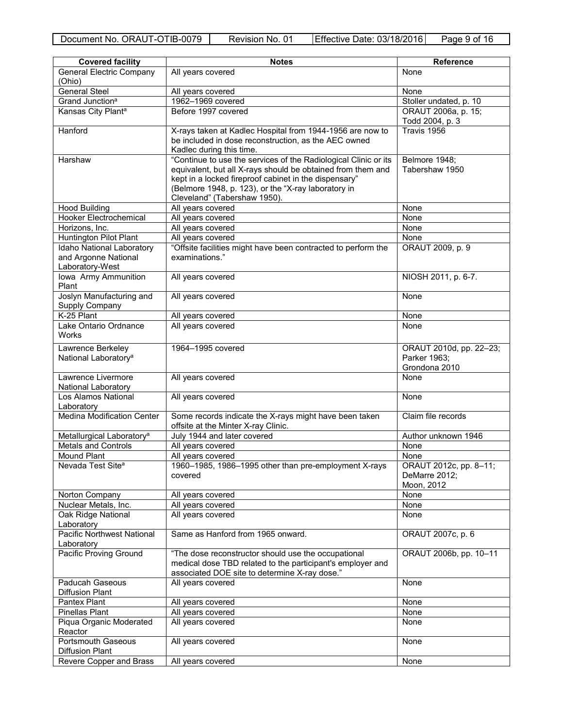| <b>Covered facility</b>                               | <b>Notes</b>                                                                                                                                                                                                | <b>Reference</b>                                         |
|-------------------------------------------------------|-------------------------------------------------------------------------------------------------------------------------------------------------------------------------------------------------------------|----------------------------------------------------------|
| <b>General Electric Company</b>                       | All years covered                                                                                                                                                                                           | None                                                     |
| (Ohio)                                                |                                                                                                                                                                                                             |                                                          |
| <b>General Steel</b>                                  | All years covered                                                                                                                                                                                           | None                                                     |
| Grand Junction <sup>a</sup>                           | 1962-1969 covered                                                                                                                                                                                           | Stoller undated, p. 10                                   |
| Kansas City Plant <sup>a</sup>                        | Before 1997 covered                                                                                                                                                                                         | ORAUT 2006a, p. 15;<br>Todd 2004, p. 3                   |
| Hanford                                               | X-rays taken at Kadlec Hospital from 1944-1956 are now to                                                                                                                                                   | Travis 1956                                              |
|                                                       | be included in dose reconstruction, as the AEC owned<br>Kadlec during this time.                                                                                                                            |                                                          |
| Harshaw                                               | "Continue to use the services of the Radiological Clinic or its                                                                                                                                             | Belmore 1948;                                            |
|                                                       | equivalent, but all X-rays should be obtained from them and<br>kept in a locked fireproof cabinet in the dispensary"<br>(Belmore 1948, p. 123), or the "X-ray laboratory in<br>Cleveland" (Tabershaw 1950). | Tabershaw 1950                                           |
| <b>Hood Building</b>                                  | All years covered                                                                                                                                                                                           | None                                                     |
| <b>Hooker Electrochemical</b>                         | All years covered                                                                                                                                                                                           | None                                                     |
| Horizons, Inc.                                        | All years covered                                                                                                                                                                                           | None                                                     |
| Huntington Pilot Plant                                | All years covered                                                                                                                                                                                           | None                                                     |
| Idaho National Laboratory                             | "Offsite facilities might have been contracted to perform the                                                                                                                                               | ORAUT 2009, p. 9                                         |
| and Argonne National<br>Laboratory-West               | examinations."                                                                                                                                                                                              |                                                          |
| Iowa Army Ammunition<br>Plant                         | All years covered                                                                                                                                                                                           | NIOSH 2011, p. 6-7.                                      |
| Joslyn Manufacturing and<br>Supply Company            | All years covered                                                                                                                                                                                           | None                                                     |
| K-25 Plant                                            | All years covered                                                                                                                                                                                           | None                                                     |
| Lake Ontario Ordnance                                 | All years covered                                                                                                                                                                                           | None                                                     |
| Works                                                 |                                                                                                                                                                                                             |                                                          |
| Lawrence Berkeley<br>National Laboratory <sup>a</sup> | 1964-1995 covered                                                                                                                                                                                           | ORAUT 2010d, pp. 22-23;<br>Parker 1963;<br>Grondona 2010 |
| Lawrence Livermore<br>National Laboratory             | All years covered                                                                                                                                                                                           | None                                                     |
| Los Alamos National<br>Laboratory                     | All years covered                                                                                                                                                                                           | None                                                     |
| <b>Medina Modification Center</b>                     | Some records indicate the X-rays might have been taken<br>offsite at the Minter X-ray Clinic.                                                                                                               | Claim file records                                       |
| Metallurgical Laboratory <sup>a</sup>                 | July 1944 and later covered                                                                                                                                                                                 | Author unknown 1946                                      |
| <b>Metals and Controls</b>                            | All years covered                                                                                                                                                                                           | None                                                     |
| <b>Mound Plant</b>                                    | All years covered                                                                                                                                                                                           | None                                                     |
| Nevada Test Site <sup>a</sup>                         | 1960-1985, 1986-1995 other than pre-employment X-rays<br>covered                                                                                                                                            | ORAUT 2012c, pp. 8-11;<br>DeMarre 2012;<br>Moon, 2012    |
| Norton Company                                        | All years covered                                                                                                                                                                                           | None                                                     |
| Nuclear Metals, Inc.                                  | All years covered                                                                                                                                                                                           | None                                                     |
| Oak Ridge National<br>Laboratory                      | All years covered                                                                                                                                                                                           | None                                                     |
| <b>Pacific Northwest National</b><br>Laboratory       | Same as Hanford from 1965 onward.                                                                                                                                                                           | ORAUT 2007c, p. 6                                        |
| Pacific Proving Ground                                | "The dose reconstructor should use the occupational<br>medical dose TBD related to the participant's employer and<br>associated DOE site to determine X-ray dose."                                          | ORAUT 2006b, pp. 10-11                                   |
| <b>Paducah Gaseous</b><br>Diffusion Plant             | All years covered                                                                                                                                                                                           | None                                                     |
| Pantex Plant                                          | All years covered                                                                                                                                                                                           | None                                                     |
| Pinellas Plant                                        | All years covered                                                                                                                                                                                           | None                                                     |
| Piqua Organic Moderated<br>Reactor                    | All years covered                                                                                                                                                                                           | None                                                     |
| <b>Portsmouth Gaseous</b><br>Diffusion Plant          | All years covered                                                                                                                                                                                           | None                                                     |
| Revere Copper and Brass                               | All years covered                                                                                                                                                                                           | None                                                     |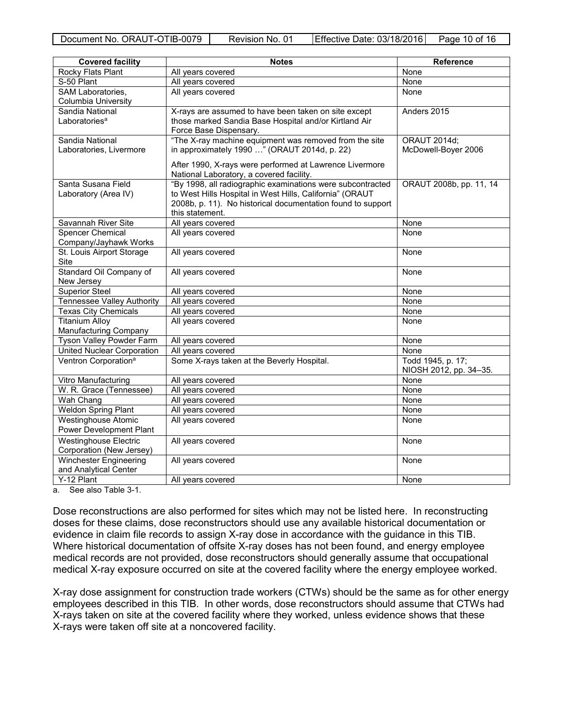| <b>Covered facility</b>           | <b>Notes</b>                                                                                        | Reference               |
|-----------------------------------|-----------------------------------------------------------------------------------------------------|-------------------------|
| Rocky Flats Plant                 | All years covered                                                                                   | None                    |
| S-50 Plant                        | All years covered                                                                                   | None                    |
| SAM Laboratories,                 | All years covered                                                                                   | None                    |
| Columbia University               |                                                                                                     |                         |
| Sandia National                   | X-rays are assumed to have been taken on site except                                                | Anders 2015             |
| Laboratories <sup>a</sup>         | those marked Sandia Base Hospital and/or Kirtland Air                                               |                         |
|                                   | Force Base Dispensary.                                                                              |                         |
| Sandia National                   | "The X-ray machine equipment was removed from the site                                              | <b>ORAUT 2014d:</b>     |
| Laboratories, Livermore           | in approximately 1990 " (ORAUT 2014d, p. 22)                                                        | McDowell-Boyer 2006     |
|                                   | After 1990, X-rays were performed at Lawrence Livermore<br>National Laboratory, a covered facility. |                         |
| Santa Susana Field                | "By 1998, all radiographic examinations were subcontracted                                          | ORAUT 2008b, pp. 11, 14 |
| Laboratory (Area IV)              | to West Hills Hospital in West Hills, California" (ORAUT                                            |                         |
|                                   | 2008b, p. 11). No historical documentation found to support                                         |                         |
|                                   | this statement.                                                                                     |                         |
| Savannah River Site               | All years covered                                                                                   | None                    |
| <b>Spencer Chemical</b>           | All years covered                                                                                   | None                    |
| Company/Jayhawk Works             |                                                                                                     |                         |
| St. Louis Airport Storage         | All years covered                                                                                   | None                    |
| Site                              |                                                                                                     |                         |
| Standard Oil Company of           | All years covered                                                                                   | None                    |
| New Jersey<br>Superior Steel      | All years covered                                                                                   | None                    |
| <b>Tennessee Valley Authority</b> | All years covered                                                                                   | None                    |
| <b>Texas City Chemicals</b>       | All years covered                                                                                   | None                    |
| <b>Titanium Alloy</b>             | All years covered                                                                                   | None                    |
| Manufacturing Company             |                                                                                                     |                         |
| Tyson Valley Powder Farm          | All years covered                                                                                   | None                    |
| <b>United Nuclear Corporation</b> | All years covered                                                                                   | None                    |
| Ventron Corporation <sup>a</sup>  | Some X-rays taken at the Beverly Hospital.                                                          | Todd 1945, p. 17;       |
|                                   |                                                                                                     | NIOSH 2012, pp. 34-35.  |
| Vitro Manufacturing               | All years covered                                                                                   | None                    |
| W. R. Grace (Tennessee)           | All years covered                                                                                   | None                    |
| Wah Chang                         | All years covered                                                                                   | None                    |
| <b>Weldon Spring Plant</b>        | All years covered                                                                                   | None                    |
| <b>Westinghouse Atomic</b>        | All years covered                                                                                   | None                    |
| Power Development Plant           |                                                                                                     |                         |
| <b>Westinghouse Electric</b>      | All years covered                                                                                   | None                    |
| Corporation (New Jersey)          |                                                                                                     |                         |
| <b>Winchester Engineering</b>     | All years covered                                                                                   | None                    |
| and Analytical Center             |                                                                                                     |                         |
| Y-12 Plant                        | All years covered                                                                                   | None                    |
|                                   |                                                                                                     |                         |

a. See also Table 3-1.

Dose reconstructions are also performed for sites which may not be listed here. In reconstructing doses for these claims, dose reconstructors should use any available historical documentation or evidence in claim file records to assign X-ray dose in accordance with the guidance in this TIB. Where historical documentation of offsite X-ray doses has not been found, and energy employee medical records are not provided, dose reconstructors should generally assume that occupational medical X-ray exposure occurred on site at the covered facility where the energy employee worked.

X-ray dose assignment for construction trade workers (CTWs) should be the same as for other energy employees described in this TIB. In other words, dose reconstructors should assume that CTWs had X-rays taken on site at the covered facility where they worked, unless evidence shows that these X-rays were taken off site at a noncovered facility.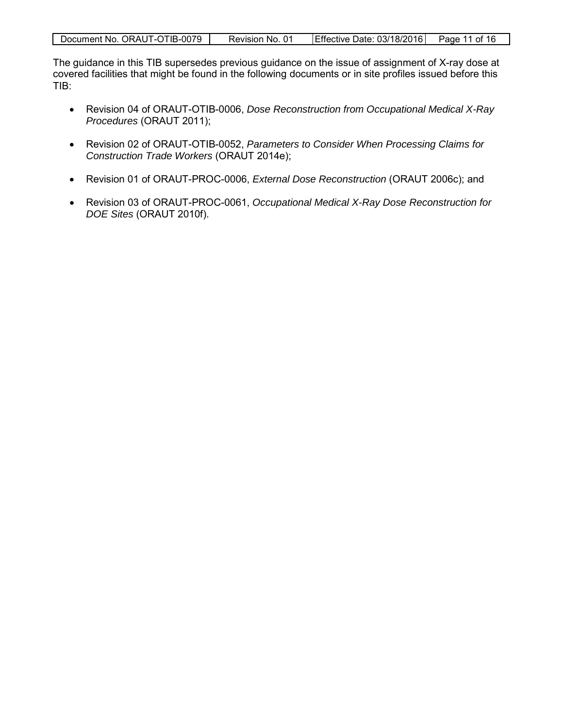| Document No. ORAUT-OTIB-0079 | Revision No. 01 | Effective Date: 03/18/2016 | Page 11 of 16 |
|------------------------------|-----------------|----------------------------|---------------|

The guidance in this TIB supersedes previous guidance on the issue of assignment of X-ray dose at covered facilities that might be found in the following documents or in site profiles issued before this TIB:

- Revision 04 of ORAUT-OTIB-0006, *Dose Reconstruction from Occupational Medical X-Ray Procedures* (ORAUT 2011);
- Revision 02 of ORAUT-OTIB-0052, *Parameters to Consider When Processing Claims for Construction Trade Workers* (ORAUT 2014e);
- Revision 01 of ORAUT-PROC-0006, *External Dose Reconstruction* (ORAUT 2006c); and
- Revision 03 of ORAUT-PROC-0061, *Occupational Medical X-Ray Dose Reconstruction for DOE Sites* (ORAUT 2010f).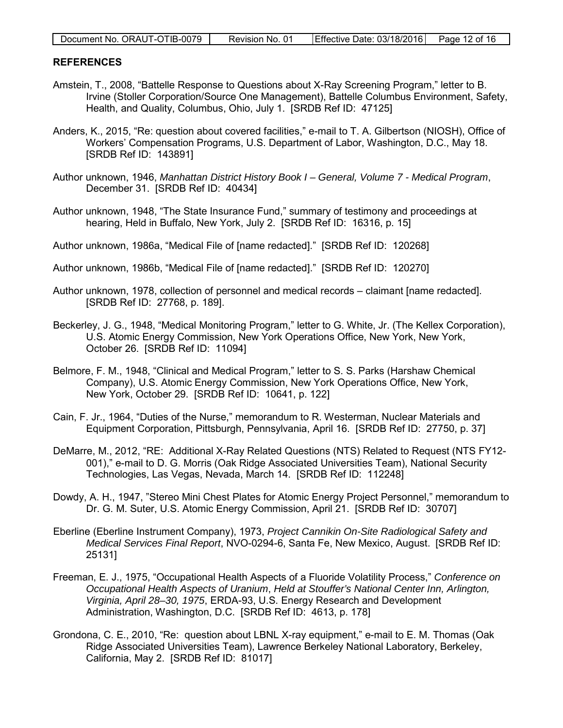| Document No. ORAUT-OTIB-0079 | Revision No. 01 | Effective Date: 03/18/2016 Page 12 of 16 |  |
|------------------------------|-----------------|------------------------------------------|--|

### <span id="page-11-0"></span>**REFERENCES**

- Amstein, T., 2008, "Battelle Response to Questions about X-Ray Screening Program," letter to B. Irvine (Stoller Corporation/Source One Management), Battelle Columbus Environment, Safety, Health, and Quality, Columbus, Ohio, July 1. [SRDB Ref ID: 47125]
- Anders, K., 2015, "Re: question about covered facilities," e-mail to T. A. Gilbertson (NIOSH), Office of Workers' Compensation Programs, U.S. Department of Labor, Washington, D.C., May 18. [SRDB Ref ID: 143891]
- Author unknown, 1946, *Manhattan District History Book I General, Volume 7 Medical Program*, December 31. [SRDB Ref ID: 40434]
- Author unknown, 1948, "The State Insurance Fund," summary of testimony and proceedings at hearing, Held in Buffalo, New York, July 2. [SRDB Ref ID: 16316, p. 15]
- Author unknown, 1986a, "Medical File of [name redacted]." [SRDB Ref ID: 120268]
- Author unknown, 1986b, "Medical File of [name redacted]." [SRDB Ref ID: 120270]
- Author unknown, 1978, collection of personnel and medical records claimant [name redacted]. [SRDB Ref ID: 27768, p. 189].
- Beckerley, J. G., 1948, "Medical Monitoring Program," letter to G. White, Jr. (The Kellex Corporation), U.S. Atomic Energy Commission, New York Operations Office, New York, New York, October 26. [SRDB Ref ID: 11094]
- Belmore, F. M., 1948, "Clinical and Medical Program," letter to S. S. Parks (Harshaw Chemical Company), U.S. Atomic Energy Commission, New York Operations Office, New York, New York, October 29. [SRDB Ref ID: 10641, p. 122]
- Cain, F. Jr., 1964, "Duties of the Nurse," memorandum to R. Westerman, Nuclear Materials and Equipment Corporation, Pittsburgh, Pennsylvania, April 16. [SRDB Ref ID: 27750, p. 37]
- DeMarre, M., 2012, "RE: Additional X-Ray Related Questions (NTS) Related to Request (NTS FY12- 001)," e-mail to D. G. Morris (Oak Ridge Associated Universities Team), National Security Technologies, Las Vegas, Nevada, March 14. [SRDB Ref ID: 112248]
- Dowdy, A. H., 1947, "Stereo Mini Chest Plates for Atomic Energy Project Personnel," memorandum to Dr. G. M. Suter, U.S. Atomic Energy Commission, April 21. [SRDB Ref ID: 30707]
- Eberline (Eberline Instrument Company), 1973, *Project Cannikin On-Site Radiological Safety and Medical Services Final Report*, NVO-0294-6, Santa Fe, New Mexico, August. [SRDB Ref ID: 25131]
- Freeman, E. J., 1975, "Occupational Health Aspects of a Fluoride Volatility Process," *Conference on Occupational Health Aspects of Uranium*, *Held at Stouffer's National Center Inn, Arlington, Virginia, April 28–30, 1975*, ERDA-93, U.S. Energy Research and Development Administration, Washington, D.C. [SRDB Ref ID: 4613, p. 178]
- Grondona, C. E., 2010, "Re: question about LBNL X-ray equipment," e-mail to E. M. Thomas (Oak Ridge Associated Universities Team), Lawrence Berkeley National Laboratory, Berkeley, California, May 2. [SRDB Ref ID: 81017]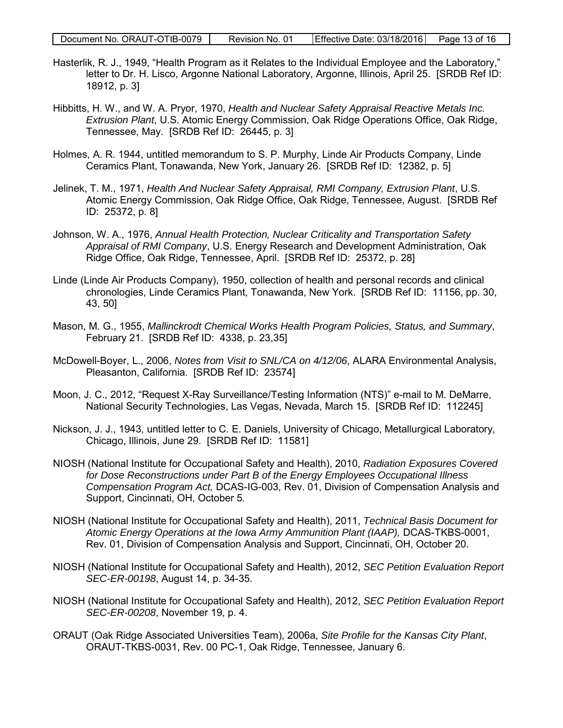- Hasterlik, R. J., 1949, "Health Program as it Relates to the Individual Employee and the Laboratory," letter to Dr. H. Lisco, Argonne National Laboratory, Argonne, Illinois, April 25. [SRDB Ref ID: 18912, p. 3]
- Hibbitts, H. W., and W. A. Pryor, 1970, *Health and Nuclear Safety Appraisal Reactive Metals Inc. Extrusion Plant*, U.S. Atomic Energy Commission, Oak Ridge Operations Office, Oak Ridge, Tennessee, May. [SRDB Ref ID: 26445, p. 3]
- Holmes, A. R. 1944, untitled memorandum to S. P. Murphy, Linde Air Products Company, Linde Ceramics Plant, Tonawanda, New York, January 26. [SRDB Ref ID: 12382, p. 5]
- Jelinek, T. M., 1971, *Health And Nuclear Safety Appraisal, RMI Company, Extrusion Plant*, U.S. Atomic Energy Commission, Oak Ridge Office, Oak Ridge, Tennessee, August. [SRDB Ref ID: 25372, p. 8]
- Johnson, W. A., 1976, *Annual Health Protection, Nuclear Criticality and Transportation Safety Appraisal of RMI Company*, U.S. Energy Research and Development Administration, Oak Ridge Office, Oak Ridge, Tennessee, April. [SRDB Ref ID: 25372, p. 28]
- Linde (Linde Air Products Company), 1950, collection of health and personal records and clinical chronologies, Linde Ceramics Plant, Tonawanda, New York. [SRDB Ref ID: 11156, pp. 30, 43, 50]
- Mason, M. G., 1955, *Mallinckrodt Chemical Works Health Program Policies, Status, and Summary*, February 21. [SRDB Ref ID: 4338, p. 23,35]
- McDowell-Boyer, L., 2006, *Notes from Visit to SNL/CA on 4/12/06*, ALARA Environmental Analysis, Pleasanton, California. [SRDB Ref ID: 23574]
- Moon, J. C., 2012, "Request X-Ray Surveillance/Testing Information (NTS)" e-mail to M. DeMarre, National Security Technologies, Las Vegas, Nevada, March 15. [SRDB Ref ID: 112245]
- Nickson, J. J., 1943, untitled letter to C. E. Daniels, University of Chicago, Metallurgical Laboratory, Chicago, Illinois, June 29. [SRDB Ref ID: 11581]
- NIOSH (National Institute for Occupational Safety and Health), 2010, *Radiation Exposures Covered for Dose Reconstructions under Part B of the Energy Employees Occupational Illness Compensation Program Act,* DCAS-IG-003, Rev. 01, Division of Compensation Analysis and Support, Cincinnati, OH, October 5*.*
- NIOSH (National Institute for Occupational Safety and Health), 2011, *Technical Basis Document for Atomic Energy Operations at the Iowa Army Ammunition Plant (IAAP),* DCAS-TKBS-0001, Rev. 01, Division of Compensation Analysis and Support, Cincinnati, OH, October 20.
- NIOSH (National Institute for Occupational Safety and Health), 2012, *SEC Petition Evaluation Report SEC-ER-00198*, August 14, p. 34-35.
- NIOSH (National Institute for Occupational Safety and Health), 2012, *SEC Petition Evaluation Report SEC-ER-00208*, November 19, p. 4.
- ORAUT (Oak Ridge Associated Universities Team), 2006a, *Site Profile for the Kansas City Plant*, ORAUT-TKBS-0031, Rev. 00 PC-1, Oak Ridge, Tennessee, January 6.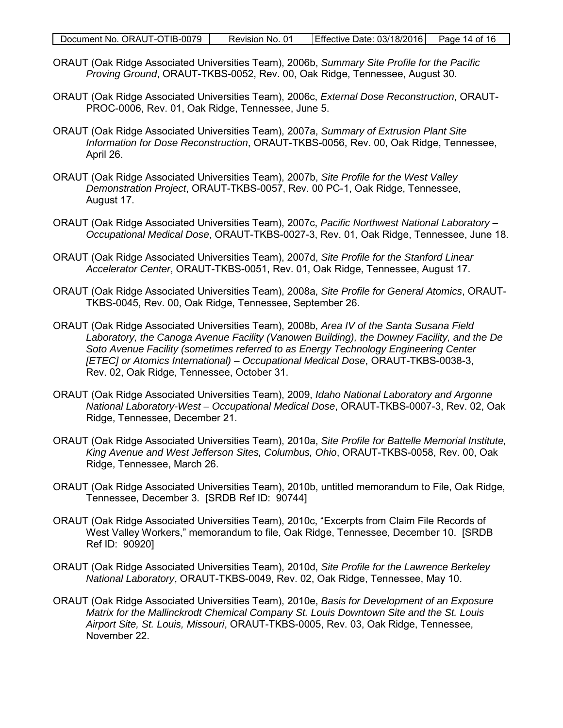- ORAUT (Oak Ridge Associated Universities Team), 2006b, *Summary Site Profile for the Pacific Proving Ground*, ORAUT-TKBS-0052, Rev. 00, Oak Ridge, Tennessee, August 30.
- ORAUT (Oak Ridge Associated Universities Team), 2006c, *External Dose Reconstruction*, ORAUT-PROC-0006, Rev. 01, Oak Ridge, Tennessee, June 5.
- ORAUT (Oak Ridge Associated Universities Team), 2007a, *Summary of Extrusion Plant Site Information for Dose Reconstruction*, ORAUT-TKBS-0056, Rev. 00, Oak Ridge, Tennessee, April 26.
- ORAUT (Oak Ridge Associated Universities Team), 2007b, *Site Profile for the West Valley Demonstration Project*, ORAUT-TKBS-0057, Rev. 00 PC-1, Oak Ridge, Tennessee, August 17.
- ORAUT (Oak Ridge Associated Universities Team), 2007c, *Pacific Northwest National Laboratory Occupational Medical Dose*, ORAUT-TKBS-0027-3, Rev. 01, Oak Ridge, Tennessee, June 18.
- ORAUT (Oak Ridge Associated Universities Team), 2007d, *Site Profile for the Stanford Linear Accelerator Center*, ORAUT-TKBS-0051, Rev. 01, Oak Ridge, Tennessee, August 17.
- ORAUT (Oak Ridge Associated Universities Team), 2008a, *Site Profile for General Atomics*, ORAUT-TKBS-0045, Rev. 00, Oak Ridge, Tennessee, September 26.
- ORAUT (Oak Ridge Associated Universities Team), 2008b, *Area IV of the Santa Susana Field Laboratory, the Canoga Avenue Facility (Vanowen Building), the Downey Facility, and the De Soto Avenue Facility (sometimes referred to as Energy Technology Engineering Center [ETEC] or Atomics International) – Occupational Medical Dose*, ORAUT-TKBS-0038-3, Rev. 02, Oak Ridge, Tennessee, October 31.
- ORAUT (Oak Ridge Associated Universities Team), 2009, *Idaho National Laboratory and Argonne National Laboratory-West – Occupational Medical Dose*, ORAUT-TKBS-0007-3, Rev. 02, Oak Ridge, Tennessee, December 21.
- ORAUT (Oak Ridge Associated Universities Team), 2010a, *Site Profile for Battelle Memorial Institute, King Avenue and West Jefferson Sites, Columbus, Ohio*, ORAUT-TKBS-0058, Rev. 00, Oak Ridge, Tennessee, March 26.
- ORAUT (Oak Ridge Associated Universities Team), 2010b, untitled memorandum to File, Oak Ridge, Tennessee, December 3. [SRDB Ref ID: 90744]
- ORAUT (Oak Ridge Associated Universities Team), 2010c, "Excerpts from Claim File Records of West Valley Workers," memorandum to file, Oak Ridge, Tennessee, December 10. [SRDB Ref ID: 90920]
- ORAUT (Oak Ridge Associated Universities Team), 2010d, *Site Profile for the Lawrence Berkeley National Laboratory*, ORAUT-TKBS-0049, Rev. 02, Oak Ridge, Tennessee, May 10.
- ORAUT (Oak Ridge Associated Universities Team), 2010e, *Basis for Development of an Exposure Matrix for the Mallinckrodt Chemical Company St. Louis Downtown Site and the St. Louis Airport Site, St. Louis, Missouri*, ORAUT-TKBS-0005, Rev. 03, Oak Ridge, Tennessee, November 22.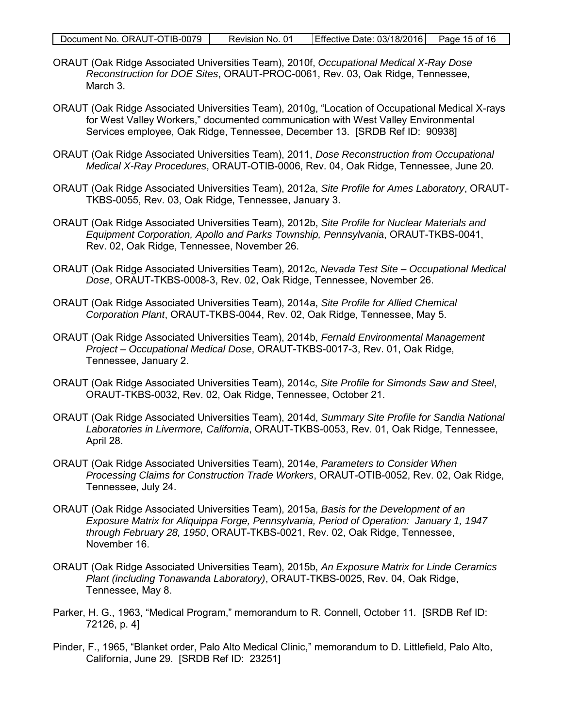- ORAUT (Oak Ridge Associated Universities Team), 2010f, *Occupational Medical X-Ray Dose Reconstruction for DOE Sites*, ORAUT-PROC-0061, Rev. 03, Oak Ridge, Tennessee, March 3.
- ORAUT (Oak Ridge Associated Universities Team), 2010g, "Location of Occupational Medical X-rays for West Valley Workers," documented communication with West Valley Environmental Services employee, Oak Ridge, Tennessee, December 13. [SRDB Ref ID: 90938]
- ORAUT (Oak Ridge Associated Universities Team), 2011, *Dose Reconstruction from Occupational Medical X-Ray Procedures*, ORAUT-OTIB-0006, Rev. 04, Oak Ridge, Tennessee, June 20.
- ORAUT (Oak Ridge Associated Universities Team), 2012a, *Site Profile for Ames Laboratory*, ORAUT-TKBS-0055, Rev. 03, Oak Ridge, Tennessee, January 3.
- ORAUT (Oak Ridge Associated Universities Team), 2012b, *Site Profile for Nuclear Materials and Equipment Corporation, Apollo and Parks Township, Pennsylvania*, ORAUT-TKBS-0041, Rev. 02, Oak Ridge, Tennessee, November 26.
- ORAUT (Oak Ridge Associated Universities Team), 2012c, *Nevada Test Site Occupational Medical Dose*, ORAUT-TKBS-0008-3, Rev. 02, Oak Ridge, Tennessee, November 26.
- ORAUT (Oak Ridge Associated Universities Team), 2014a, *Site Profile for Allied Chemical Corporation Plant*, ORAUT-TKBS-0044, Rev. 02, Oak Ridge, Tennessee, May 5.
- ORAUT (Oak Ridge Associated Universities Team), 2014b, *Fernald Environmental Management Project – Occupational Medical Dose*, ORAUT-TKBS-0017-3, Rev. 01, Oak Ridge, Tennessee, January 2.
- ORAUT (Oak Ridge Associated Universities Team), 2014c, *Site Profile for Simonds Saw and Steel*, ORAUT-TKBS-0032, Rev. 02, Oak Ridge, Tennessee, October 21.
- ORAUT (Oak Ridge Associated Universities Team), 2014d, *Summary Site Profile for Sandia National Laboratories in Livermore, California*, ORAUT-TKBS-0053, Rev. 01, Oak Ridge, Tennessee, April 28.
- ORAUT (Oak Ridge Associated Universities Team), 2014e, *Parameters to Consider When Processing Claims for Construction Trade Workers*, ORAUT-OTIB-0052, Rev. 02, Oak Ridge, Tennessee, July 24.
- ORAUT (Oak Ridge Associated Universities Team), 2015a, *Basis for the Development of an Exposure Matrix for Aliquippa Forge, Pennsylvania, Period of Operation: January 1, 1947 through February 28, 1950*, ORAUT-TKBS-0021, Rev. 02, Oak Ridge, Tennessee, November 16.
- ORAUT (Oak Ridge Associated Universities Team), 2015b, *An Exposure Matrix for Linde Ceramics Plant (including Tonawanda Laboratory)*, ORAUT-TKBS-0025, Rev. 04, Oak Ridge, Tennessee, May 8.
- Parker, H. G., 1963, "Medical Program," memorandum to R. Connell, October 11*.* [SRDB Ref ID: 72126, p. 4]
- Pinder, F., 1965, "Blanket order, Palo Alto Medical Clinic," memorandum to D. Littlefield, Palo Alto, California, June 29. [SRDB Ref ID: 23251]